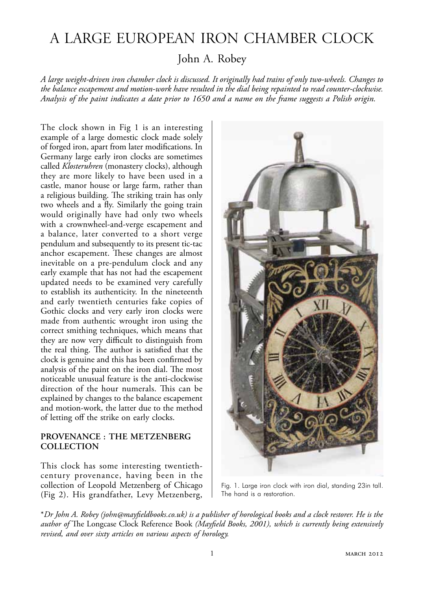# A Large European Iron Chamber Clock

John A. Robey

*A large weight-driven iron chamber clock is discussed. It originally had trains of only two-wheels. Changes to the balance escapement and motion-work have resulted in the dial being repainted to read counter-clockwise. Analysis of the paint indicates a date prior to 1650 and a name on the frame suggests a Polish origin.*

The clock shown in Fig 1 is an interesting example of a large domestic clock made solely of forged iron, apart from later modifications. In Germany large early iron clocks are sometimes called *Klosteruhren* (monastery clocks), although they are more likely to have been used in a castle, manor house or large farm, rather than a religious building. The striking train has only two wheels and a fly. Similarly the going train would originally have had only two wheels with a crownwheel-and-verge escapement and a balance, later converted to a short verge pendulum and subsequently to its present tic-tac anchor escapement. These changes are almost inevitable on a pre-pendulum clock and any early example that has not had the escapement updated needs to be examined very carefully to establish its authenticity. In the nineteenth and early twentieth centuries fake copies of Gothic clocks and very early iron clocks were made from authentic wrought iron using the correct smithing techniques, which means that they are now very difficult to distinguish from the real thing. The author is satisfied that the clock is genuine and this has been confirmed by analysis of the paint on the iron dial. The most noticeable unusual feature is the anti-clockwise direction of the hour numerals. This can be explained by changes to the balance escapement and motion-work, the latter due to the method of letting off the strike on early clocks.

# **Provenance : The Metzenberg Collection**

This clock has some interesting twentiethcentury provenance, having been in the collection of Leopold Metzenberg of Chicago (Fig 2). His grandfather, Levy Metzenberg,



Fig. 1. Large iron clock with iron dial, standing 23in tall. The hand is a restoration.

\**Dr John A. Robey (john@mayfieldbooks.co.uk) is a publisher of horological books and a clock restorer. He is the author of* The Longcase Clock Reference Book *(Mayfield Books, 2001), which is currently being extensively revised, and over sixty articles on various aspects of horology.*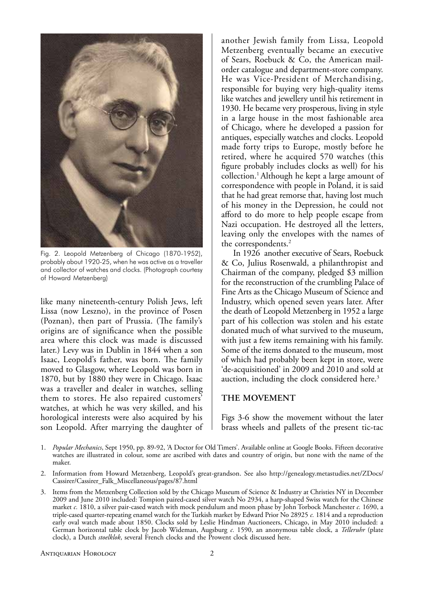

Fig. 2. Leopold Metzenberg of Chicago (1870-1952), probably about 1920-25, when he was active as a traveller and collector of watches and clocks. (Photograph courtesy of Howard Metzenberg)

like many nineteenth-century Polish Jews, left Lissa (now Leszno), in the province of Posen (Poznan), then part of Prussia. (The family's origins are of significance when the possible area where this clock was made is discussed later.) Levy was in Dublin in 1844 when a son Isaac, Leopold's father, was born. The family moved to Glasgow, where Leopold was born in 1870, but by 1880 they were in Chicago. Isaac was a traveller and dealer in watches, selling them to stores. He also repaired customers' watches, at which he was very skilled, and his horological interests were also acquired by his son Leopold. After marrying the daughter of

another Jewish family from Lissa, Leopold Metzenberg eventually became an executive of Sears, Roebuck & Co, the American mailorder catalogue and department-store company. He was Vice-President of Merchandising, responsible for buying very high-quality items like watches and jewellery until his retirement in 1930. He became very prosperous, living in style in a large house in the most fashionable area of Chicago, where he developed a passion for antiques, especially watches and clocks. Leopold made forty trips to Europe, mostly before he retired, where he acquired 570 watches (this figure probably includes clocks as well) for his collection.1 Although he kept a large amount of correspondence with people in Poland, it is said that he had great remorse that, having lost much of his money in the Depression, he could not afford to do more to help people escape from Nazi occupation. He destroyed all the letters, leaving only the envelopes with the names of the correspondents.<sup>2</sup>

In 1926 another executive of Sears, Roebuck & Co, Julius Rosenwald, a philanthropist and Chairman of the company, pledged \$3 million for the reconstruction of the crumbling Palace of Fine Arts as the Chicago Museum of Science and Industry, which opened seven years later. After the death of Leopold Metzenberg in 1952 a large part of his collection was stolen and his estate donated much of what survived to the museum, with just a few items remaining with his family. Some of the items donated to the museum, most of which had probably been kept in store, were 'de-acquisitioned' in 2009 and 2010 and sold at auction, including the clock considered here.<sup>3</sup>

# **The Movement**

Figs 3-6 show the movement without the later brass wheels and pallets of the present tic-tac

- 1. *Popular Mechanics*, Sept 1950, pp. 89-92, 'A Doctor for Old Timers'. Available online at Google Books. Fifteen decorative watches are illustrated in colour, some are ascribed with dates and country of origin, but none with the name of the maker.
- 2. Information from Howard Metzenberg, Leopold's great-grandson. See also http://genealogy.metastudies.net/ZDocs/ Cassirer/Cassirer\_Falk\_Miscellaneous/pages/87.html
- 3. Items from the Metzenberg Collection sold by the Chicago Museum of Science & Industry at Christies NY in December 2009 and June 2010 included: Tompion paired-cased silver watch No 2934, a harp-shaped Swiss watch for the Chinese market *c.* 1810, a silver pair-cased watch with mock pendulum and moon phase by John Torbock Manchester *c.* 1690, a triple-cased quarter-repeating enamel watch for the Turkish market by Edward Prior No 28925 *c.* 1814 and a reproduction early oval watch made about 1850. Clocks sold by Leslie Hindman Auctioneers, Chicago, in May 2010 included: a German horizontal table clock by Jacob Wideman, Augsburg *c.* 1590, an anonymous table clock, a *Telleruhr* (plate clock), a Dutch *stoelklok*, several French clocks and the Prowent clock discussed here.

#### Antiquarian Horology 2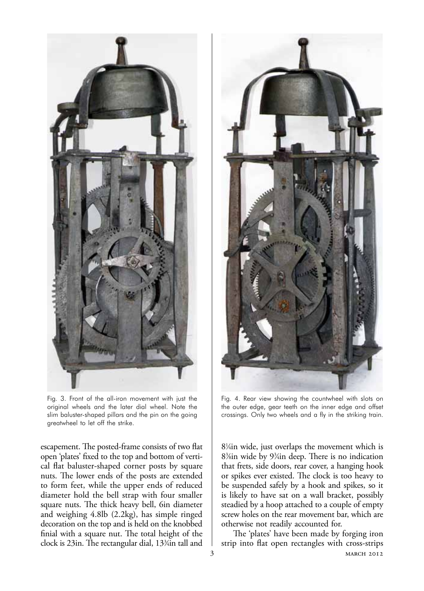

Fig. 3. Front of the all-iron movement with just the original wheels and the later dial wheel. Note the slim baluster-shaped pillars and the pin on the going greatwheel to let off the strike.

escapement. The posted-frame consists of two flat open 'plates' fixed to the top and bottom of vertical flat baluster-shaped corner posts by square nuts. The lower ends of the posts are extended to form feet, while the upper ends of reduced diameter hold the bell strap with four smaller square nuts. The thick heavy bell, 6in diameter and weighing 4.8lb (2.2kg), has simple ringed decoration on the top and is held on the knobbed finial with a square nut. The total height of the clock is 23in. The rectangular dial, 133 ⁄4in tall and



Fig. 4. Rear view showing the countwheel with slots on the outer edge, gear teeth on the inner edge and offset crossings. Only two wheels and a fly in the striking train.

81 ⁄4in wide, just overlaps the movement which is 83 ⁄8in wide by 93 ⁄4in deep. There is no indication that frets, side doors, rear cover, a hanging hook or spikes ever existed. The clock is too heavy to be suspended safely by a hook and spikes, so it is likely to have sat on a wall bracket, possibly steadied by a hoop attached to a couple of empty screw holes on the rear movement bar, which are otherwise not readily accounted for.

3 MARCH 2012 The 'plates' have been made by forging iron strip into flat open rectangles with cross-strips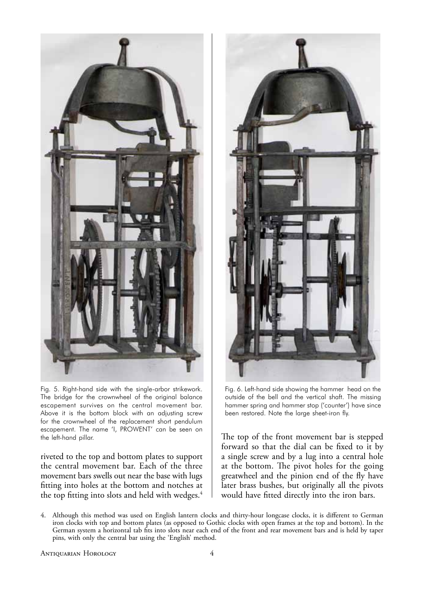

Fig. 5. Right-hand side with the single-arbor strikework. The bridge for the crownwheel of the original balance escapement survives on the central movement bar. Above it is the bottom block with an adjusting screw for the crownwheel of the replacement short pendulum escapement. The name 'I, PROWENT' can be seen on the left-hand pillar.

riveted to the top and bottom plates to support the central movement bar. Each of the three movement bars swells out near the base with lugs fitting into holes at the bottom and notches at the top fitting into slots and held with wedges.<sup>4</sup>



Fig. 6. Left-hand side showing the hammer head on the outside of the bell and the vertical shaft. The missing hammer spring and hammer stop ('counter') have since been restored. Note the large sheet-iron fly.

The top of the front movement bar is stepped forward so that the dial can be fixed to it by a single screw and by a lug into a central hole at the bottom. The pivot holes for the going greatwheel and the pinion end of the fly have later brass bushes, but originally all the pivots would have fitted directly into the iron bars.

4. Although this method was used on English lantern clocks and thirty-hour longcase clocks, it is different to German iron clocks with top and bottom plates (as opposed to Gothic clocks with open frames at the top and bottom). In the German system a horizontal tab fits into slots near each end of the front and rear movement bars and is held by taper pins, with only the central bar using the 'English' method.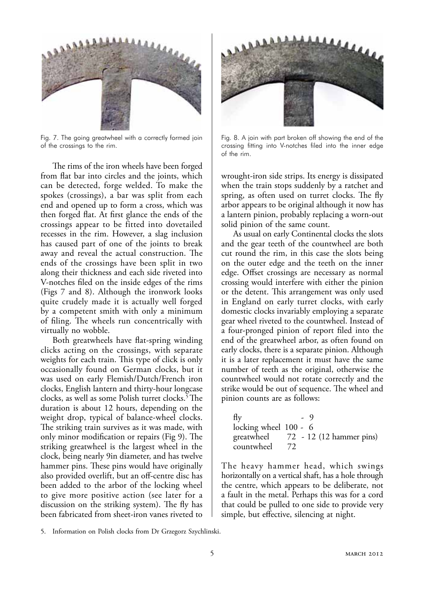

Fig. 7. The going greatwheel with a correctly formed join of the crossings to the rim.

The rims of the iron wheels have been forged from flat bar into circles and the joints, which can be detected, forge welded. To make the spokes (crossings), a bar was split from each end and opened up to form a cross, which was then forged flat. At first glance the ends of the crossings appear to be fitted into dovetailed recesses in the rim. However, a slag inclusion has caused part of one of the joints to break away and reveal the actual construction. The ends of the crossings have been split in two along their thickness and each side riveted into V-notches filed on the inside edges of the rims (Figs 7 and 8). Although the ironwork looks quite crudely made it is actually well forged by a competent smith with only a minimum of filing. The wheels run concentrically with virtually no wobble.

Both greatwheels have flat-spring winding clicks acting on the crossings, with separate weights for each train. This type of click is only occasionally found on German clocks, but it was used on early Flemish/Dutch/French iron clocks, English lantern and thirty-hour longcase clocks, as well as some Polish turret clocks.<sup>5</sup> The duration is about 12 hours, depending on the weight drop, typical of balance-wheel clocks. The striking train survives as it was made, with only minor modification or repairs (Fig 9). The striking greatwheel is the largest wheel in the clock, being nearly 9in diameter, and has twelve hammer pins. These pins would have originally also provided overlift, but an off-centre disc has been added to the arbor of the locking wheel to give more positive action (see later for a discussion on the striking system). The fly has been fabricated from sheet-iron vanes riveted to



Fig. 8. A join with part broken off showing the end of the crossing fitting into V-notches filed into the inner edge of the rim.

wrought-iron side strips. Its energy is dissipated when the train stops suddenly by a ratchet and spring, as often used on turret clocks. The fly arbor appears to be original although it now has a lantern pinion, probably replacing a worn-out solid pinion of the same count.

As usual on early Continental clocks the slots and the gear teeth of the countwheel are both cut round the rim, in this case the slots being on the outer edge and the teeth on the inner edge. Offset crossings are necessary as normal crossing would interfere with either the pinion or the detent. This arrangement was only used in England on early turret clocks, with early domestic clocks invariably employing a separate gear wheel riveted to the countwheel. Instead of a four-pronged pinion of report filed into the end of the greatwheel arbor, as often found on early clocks, there is a separate pinion. Although it is a later replacement it must have the same number of teeth as the original, otherwise the countwheel would not rotate correctly and the strike would be out of sequence. The wheel and pinion counts are as follows:

| fly                   |    | - 9                      |
|-----------------------|----|--------------------------|
| locking wheel 100 - 6 |    |                          |
| greatwheel            |    | 72 - 12 (12 hammer pins) |
| countwheel            | 72 |                          |

The heavy hammer head, which swings horizontally on a vertical shaft, has a hole through the centre, which appears to be deliberate, not a fault in the metal. Perhaps this was for a cord that could be pulled to one side to provide very simple, but effective, silencing at night.

<sup>5.</sup> Information on Polish clocks from Dr Grzegorz Szychlinski.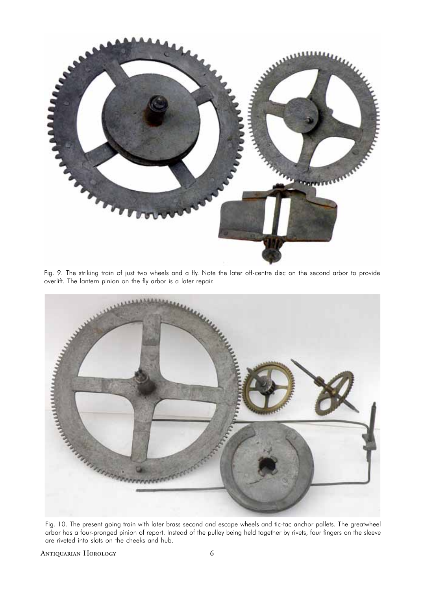

Fig. 9. The striking train of just two wheels and a fly. Note the later off-centre disc on the second arbor to provide overlift. The lantern pinion on the fly arbor is a later repair.



Fig. 10. The present going train with later brass second and escape wheels and tic-tac anchor pallets. The greatwheel arbor has a four-pronged pinion of report. Instead of the pulley being held together by rivets, four fingers on the sleeve are riveted into slots on the cheeks and hub.

Antiquarian Horology 6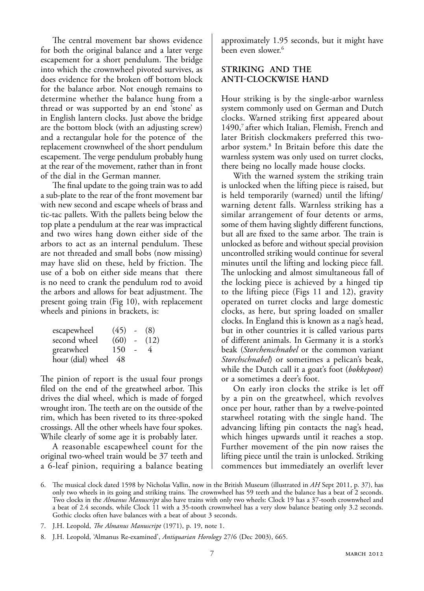The central movement bar shows evidence for both the original balance and a later verge escapement for a short pendulum. The bridge into which the crownwheel pivoted survives, as does evidence for the broken off bottom block for the balance arbor. Not enough remains to determine whether the balance hung from a thread or was supported by an end 'stone' as in English lantern clocks. Just above the bridge are the bottom block (with an adjusting screw) and a rectangular hole for the potence of the replacement crownwheel of the short pendulum escapement. The verge pendulum probably hung at the rear of the movement, rather than in front of the dial in the German manner.

The final update to the going train was to add a sub-plate to the rear of the front movement bar with new second and escape wheels of brass and tic-tac pallets. With the pallets being below the top plate a pendulum at the rear was impractical and two wires hang down either side of the arbors to act as an internal pendulum. These are not threaded and small bobs (now missing) may have slid on these, held by friction. The use of a bob on either side means that there is no need to crank the pendulum rod to avoid the arbors and allows for beat adjustment. The present going train (Fig 10), with replacement wheels and pinions in brackets, is:

| escapewheel       | $(45)$ - $(8)$ |                |      |
|-------------------|----------------|----------------|------|
| second wheel      | (60)           | $\sim 10^{-1}$ | (12) |
| greatwheel        | 150            | $\sim$         | 4    |
| hour (dial) wheel | -48            |                |      |

The pinion of report is the usual four prongs filed on the end of the greatwheel arbor. This drives the dial wheel, which is made of forged wrought iron. The teeth are on the outside of the rim, which has been riveted to its three-spoked crossings. All the other wheels have four spokes. While clearly of some age it is probably later.

A reasonable escapewheel count for the original two-wheel train would be 37 teeth and a 6-leaf pinion, requiring a balance beating approximately 1.95 seconds, but it might have been even slower.<sup>6</sup>

# **Striking AND the Anti-Clockwise Hand**

Hour striking is by the single-arbor warnless system commonly used on German and Dutch clocks. Warned striking first appeared about 1490,<sup>7</sup> after which Italian, Flemish, French and later British clockmakers preferred this twoarbor system.8 In Britain before this date the warnless system was only used on turret clocks, there being no locally made house clocks.

With the warned system the striking train is unlocked when the lifting piece is raised, but is held temporarily (warned) until the lifting/ warning detent falls. Warnless striking has a similar arrangement of four detents or arms, some of them having slightly different functions, but all are fixed to the same arbor. The train is unlocked as before and without special provision uncontrolled striking would continue for several minutes until the lifting and locking piece fall. The unlocking and almost simultaneous fall of the locking piece is achieved by a hinged tip to the lifting piece (Figs 11 and 12), gravity operated on turret clocks and large domestic clocks, as here, but spring loaded on smaller clocks. In England this is known as a nag's head, but in other countries it is called various parts of different animals. In Germany it is a stork's beak (*Storchenschnabel* or the common variant *Storchschnabel*) or sometimes a pelican's beak, while the Dutch call it a goat's foot (*bokkepoot*) or a sometimes a deer's foot.

On early iron clocks the strike is let off by a pin on the greatwheel, which revolves once per hour, rather than by a twelve-pointed starwheel rotating with the single hand. The advancing lifting pin contacts the nag's head, which hinges upwards until it reaches a stop. Further movement of the pin now raises the lifting piece until the train is unlocked. Striking commences but immediately an overlift lever

<sup>6.</sup> The musical clock dated 1598 by Nicholas Vallin, now in the British Museum (illustrated in *AH* Sept 2011, p. 37), has only two wheels in its going and striking trains. The crownwheel has 59 teeth and the balance has a beat of 2 seconds. Two clocks in the *Almanus Manuscript* also have trains with only two wheels: Clock 19 has a 37-tooth crownwheel and a beat of 2.4 seconds, while Clock 11 with a 35-tooth crownwheel has a very slow balance beating only 3.2 seconds. Gothic clocks often have balances with a beat of about 3 seconds.

<sup>7.</sup> J.H. Leopold, *The Almanus Manuscript* (1971), p. 19, note 1.

<sup>8.</sup> J.H. Leopold, 'Almanus Re-examined', *Antiquarian Horology* 27/6 (Dec 2003), 665.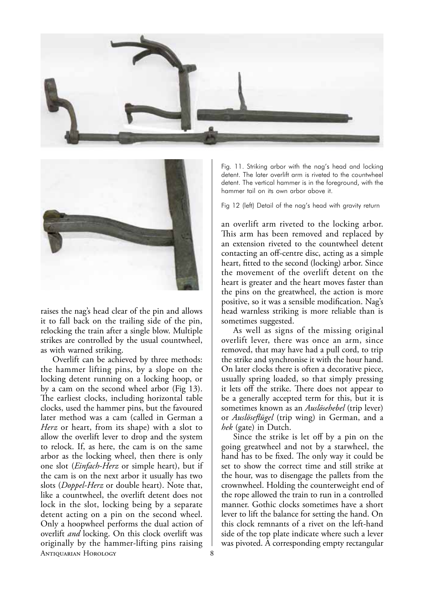



raises the nag's head clear of the pin and allows it to fall back on the trailing side of the pin, relocking the train after a single blow. Multiple strikes are controlled by the usual countwheel, as with warned striking.

Antiquarian Horology 8 Overlift can be achieved by three methods: the hammer lifting pins, by a slope on the locking detent running on a locking hoop, or by a cam on the second wheel arbor (Fig 13). The earliest clocks, including horizontal table clocks, used the hammer pins, but the favoured later method was a cam (called in German a *Herz* or heart, from its shape) with a slot to allow the overlift lever to drop and the system to relock. If, as here, the cam is on the same arbor as the locking wheel, then there is only one slot (*Einfach-Herz* or simple heart), but if the cam is on the next arbor it usually has two slots (*Doppel-Herz* or double heart). Note that, like a countwheel, the overlift detent does not lock in the slot, locking being by a separate detent acting on a pin on the second wheel. Only a hoopwheel performs the dual action of overlift *and* locking. On this clock overlift was originally by the hammer-lifting pins raising

Fig. 11. Striking arbor with the nag's head and locking detent. The later overlift arm is riveted to the countwheel detent. The vertical hammer is in the foreground, with the hammer tail on its own arbor above it.

Fig 12 (left) Detail of the nag's head with gravity return

an overlift arm riveted to the locking arbor. This arm has been removed and replaced by an extension riveted to the countwheel detent contacting an off-centre disc, acting as a simple heart, fitted to the second (locking) arbor. Since the movement of the overlift detent on the heart is greater and the heart moves faster than the pins on the greatwheel, the action is more positive, so it was a sensible modification. Nag's head warnless striking is more reliable than is sometimes suggested.

As well as signs of the missing original overlift lever, there was once an arm, since removed, that may have had a pull cord, to trip the strike and synchronise it with the hour hand. On later clocks there is often a decorative piece, usually spring loaded, so that simply pressing it lets off the strike. There does not appear to be a generally accepted term for this, but it is sometimes known as an *Auslösehebel* (trip lever) or *Auslöseflügel* (trip wing) in German, and a *hek* (gate) in Dutch.

Since the strike is let off by a pin on the going greatwheel and not by a starwheel, the hand has to be fixed. The only way it could be set to show the correct time and still strike at the hour, was to disengage the pallets from the crownwheel. Holding the counterweight end of the rope allowed the train to run in a controlled manner. Gothic clocks sometimes have a short lever to lift the balance for setting the hand. On this clock remnants of a rivet on the left-hand side of the top plate indicate where such a lever was pivoted. A corresponding empty rectangular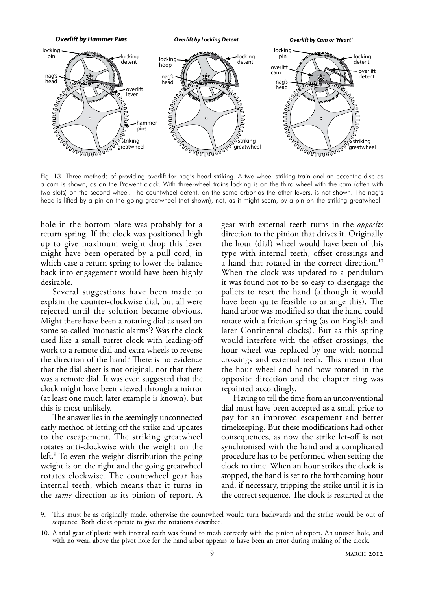

Fig. 13. Three methods of providing overlift for nag's head striking. A two-wheel striking train and an eccentric disc as a cam is shown, as on the Prowent clock. With three-wheel trains locking is on the third wheel with the cam (often with two slots) on the second wheel. The countwheel detent, on the same arbor as the other levers, is not shown. The nag's head is lifted by a pin on the going greatwheel (not shown), not, as it might seem, by a pin on the striking greatwheel.

hole in the bottom plate was probably for a return spring. If the clock was positioned high up to give maximum weight drop this lever might have been operated by a pull cord, in which case a return spring to lower the balance back into engagement would have been highly desirable.

Several suggestions have been made to explain the counter-clockwise dial, but all were rejected until the solution became obvious. Might there have been a rotating dial as used on some so-called 'monastic alarms'? Was the clock used like a small turret clock with leading-off work to a remote dial and extra wheels to reverse the direction of the hand? There is no evidence that the dial sheet is not original, nor that there was a remote dial. It was even suggested that the clock might have been viewed through a mirror (at least one much later example is known), but this is most unlikely.

The answer lies in the seemingly unconnected early method of letting off the strike and updates to the escapement. The striking greatwheel rotates anti-clockwise with the weight on the left.9 To even the weight distribution the going weight is on the right and the going greatwheel rotates clockwise. The countwheel gear has internal teeth, which means that it turns in the *same* direction as its pinion of report. A

gear with external teeth turns in the *opposite* direction to the pinion that drives it. Originally the hour (dial) wheel would have been of this type with internal teeth, offset crossings and a hand that rotated in the correct direction.<sup>10</sup> When the clock was updated to a pendulum it was found not to be so easy to disengage the pallets to reset the hand (although it would have been quite feasible to arrange this). The hand arbor was modified so that the hand could rotate with a friction spring (as on English and later Continental clocks). But as this spring would interfere with the offset crossings, the hour wheel was replaced by one with normal crossings and external teeth. This meant that the hour wheel and hand now rotated in the opposite direction and the chapter ring was repainted accordingly.

Having to tell the time from an unconventional dial must have been accepted as a small price to pay for an improved escapement and better timekeeping. But these modifications had other consequences, as now the strike let-off is not synchronised with the hand and a complicated procedure has to be performed when setting the clock to time. When an hour strikes the clock is stopped, the hand is set to the forthcoming hour and, if necessary, tripping the strike until it is in the correct sequence. The clock is restarted at the

<sup>9.</sup> This must be as originally made, otherwise the countwheel would turn backwards and the strike would be out of sequence. Both clicks operate to give the rotations described.

<sup>10.</sup> A trial gear of plastic with internal teeth was found to mesh correctly with the pinion of report. An unused hole, and with no wear, above the pivot hole for the hand arbor appears to have been an error during making of the clock.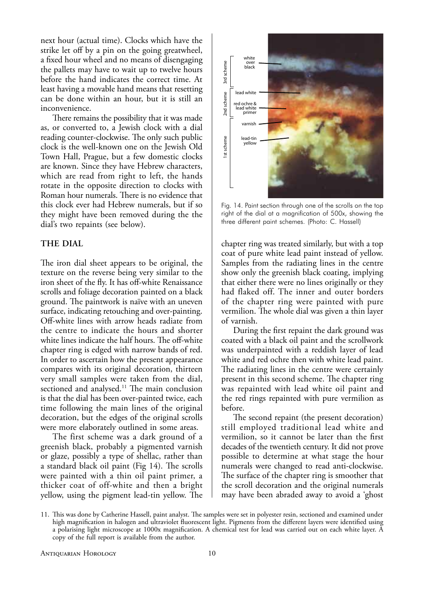next hour (actual time). Clocks which have the strike let off by a pin on the going greatwheel, a fixed hour wheel and no means of disengaging the pallets may have to wait up to twelve hours before the hand indicates the correct time. At least having a movable hand means that resetting can be done within an hour, but it is still an inconvenience.

There remains the possibility that it was made as, or converted to, a Jewish clock with a dial reading counter-clockwise. The only such public clock is the well-known one on the Jewish Old Town Hall, Prague, but a few domestic clocks are known. Since they have Hebrew characters, which are read from right to left, the hands rotate in the opposite direction to clocks with Roman hour numerals. There is no evidence that this clock ever had Hebrew numerals, but if so they might have been removed during the the dial's two repaints (see below).

# **The Dial**

The iron dial sheet appears to be original, the texture on the reverse being very similar to the iron sheet of the fly. It has off-white Renaissance scrolls and foliage decoration painted on a black ground. The paintwork is naïve with an uneven surface, indicating retouching and over-painting. Off-white lines with arrow heads radiate from the centre to indicate the hours and shorter white lines indicate the half hours. The off-white chapter ring is edged with narrow bands of red. In order to ascertain how the present appearance compares with its original decoration, thirteen very small samples were taken from the dial, sectioned and analysed.<sup>11</sup> The main conclusion is that the dial has been over-painted twice, each time following the main lines of the original decoration, but the edges of the original scrolls were more elaborately outlined in some areas.

The first scheme was a dark ground of a greenish black, probably a pigmented varnish or glaze, possibly a type of shellac, rather than a standard black oil paint (Fig 14). The scrolls were painted with a thin oil paint primer, a thicker coat of off-white and then a bright yellow, using the pigment lead-tin yellow. The



Fig. 14. Paint section through one of the scrolls on the top right of the dial at a magnification of 500x, showing the three different paint schemes. (Photo: C. Hassell)

chapter ring was treated similarly, but with a top coat of pure white lead paint instead of yellow. Samples from the radiating lines in the centre show only the greenish black coating, implying that either there were no lines originally or they had flaked off. The inner and outer borders of the chapter ring were painted with pure vermilion. The whole dial was given a thin layer of varnish.

During the first repaint the dark ground was coated with a black oil paint and the scrollwork was underpainted with a reddish layer of lead white and red ochre then with white lead paint. The radiating lines in the centre were certainly present in this second scheme. The chapter ring was repainted with lead white oil paint and the red rings repainted with pure vermilion as before.

The second repaint (the present decoration) still employed traditional lead white and vermilion, so it cannot be later than the first decades of the twentieth century. It did not prove possible to determine at what stage the hour numerals were changed to read anti-clockwise. The surface of the chapter ring is smoother that the scroll decoration and the original numerals may have been abraded away to avoid a 'ghost

<sup>11.</sup> This was done by Catherine Hassell, paint analyst. The samples were set in polyester resin, sectioned and examined under high magnification in halogen and ultraviolet fluorescent light. Pigments from the different layers were identified using a polarising light microscope at 1000x magnification. A chemical test for lead was carried out on each white layer. A copy of the full report is available from the author.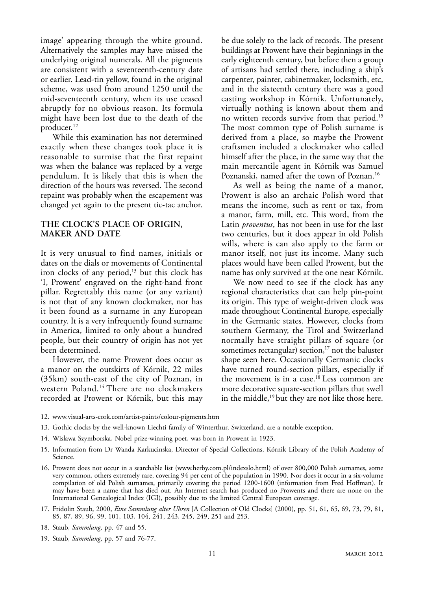image' appearing through the white ground. Alternatively the samples may have missed the underlying original numerals. All the pigments are consistent with a seventeenth-century date or earlier. Lead-tin yellow, found in the original scheme, was used from around 1250 until the mid-seventeenth century, when its use ceased abruptly for no obvious reason. Its formula might have been lost due to the death of the producer.12

While this examination has not determined exactly when these changes took place it is reasonable to surmise that the first repaint was when the balance was replaced by a verge pendulum. It is likely that this is when the direction of the hours was reversed. The second repaint was probably when the escapement was changed yet again to the present tic-tac anchor.

# **The Clock's Place of Origin, Maker AND Date**

It is very unusual to find names, initials or dates on the dials or movements of Continental iron clocks of any period,<sup>13</sup> but this clock has 'I, Prowent' engraved on the right-hand front pillar. Regrettably this name (or any variant) is not that of any known clockmaker, nor has it been found as a surname in any European country. It is a very infrequently found surname in America, limited to only about a hundred people, but their country of origin has not yet been determined.

However, the name Prowent does occur as a manor on the outskirts of Kórnik, 22 miles (35km) south-east of the city of Poznan, in western Poland.14 There are no clockmakers recorded at Prowent or Kórnik, but this may

be due solely to the lack of records. The present buildings at Prowent have their beginnings in the early eighteenth century, but before then a group of artisans had settled there, including a ship's carpenter, painter, cabinetmaker, locksmith, etc, and in the sixteenth century there was a good casting workshop in Kórnik. Unfortunately, virtually nothing is known about them and no written records survive from that period.15 The most common type of Polish surname is derived from a place, so maybe the Prowent craftsmen included a clockmaker who called himself after the place, in the same way that the main mercantile agent in Kórnik was Samuel Poznanski, named after the town of Poznan.<sup>16</sup>

As well as being the name of a manor, Prowent is also an archaic Polish word that means the income, such as rent or tax, from a manor, farm, mill, etc. This word, from the Latin *proventus*, has not been in use for the last two centuries, but it does appear in old Polish wills, where is can also apply to the farm or manor itself, not just its income. Many such places would have been called Prowent, but the name has only survived at the one near Kórnik.

We now need to see if the clock has any regional characteristics that can help pin-point its origin. This type of weight-driven clock was made throughout Continental Europe, especially in the Germanic states. However, clocks from southern Germany, the Tirol and Switzerland normally have straight pillars of square (or sometimes rectangular) section, $17$  not the baluster shape seen here. Occasionally Germanic clocks have turned round-section pillars, especially if the movement is in a case.<sup>18</sup> Less common are more decorative square-section pillars that swell in the middle,<sup>19</sup> but they are not like those here.

- 12. www.visual-arts-cork.com/artist-paints/colour-pigments.htm
- 13. Gothic clocks by the well-known Liechti family of Winterthur, Switzerland, are a notable exception.
- 14. Wislawa Szymborska, Nobel prize-winning poet, was born in Prowent in 1923.
- 15. Information from Dr Wanda Karkucinska, Director of Special Collections, Kórnik Library of the Polish Academy of Science.
- 16. Prowent does not occur in a searchable list (www.herby.com.pl/indexslo.html) of over 800,000 Polish surnames, some very common, others extremely rare, covering 94 per cent of the population in 1990. Nor does it occur in a six-volume compilation of old Polish surnames, primarily covering the period 1200-1600 (information from Fred Hoffman). It may have been a name that has died out. An Internet search has produced no Prowents and there are none on the International Genealogical Index (IGI), possibly due to the limited Central European coverage.
- 17. Fridolin Staub, 2000, *Eine Sammlung alter Uhren* [A Collection of Old Clocks] (2000), pp. 51, 61, 65, 69, 73, 79, 81, 85, 87, 89, 96, 99, 101, 103, 104, 241, 243, 245, 249, 251 and 253.
- 18. Staub, *Sammlung*, pp. 47 and 55.
- 19. Staub, *Sammlung*, pp. 57 and 76-77.